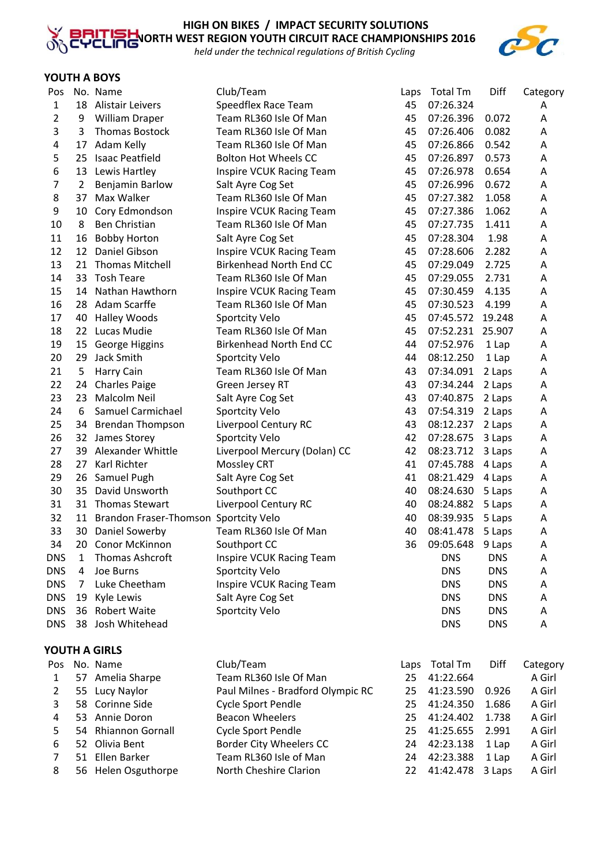

*held under the technical regulations of British Cycling*

## **YOUTH A BOYS**

| Pos        |                 | No. Name                              | Club/Team                         | Laps | <b>Total Tm</b>  | Diff       | Category |
|------------|-----------------|---------------------------------------|-----------------------------------|------|------------------|------------|----------|
| 1          | 18              | <b>Alistair Leivers</b>               | Speedflex Race Team               | 45   | 07:26.324        |            | A        |
| 2          | 9               | <b>William Draper</b>                 | Team RL360 Isle Of Man            | 45   | 07:26.396        | 0.072      | Α        |
| 3          | 3               | <b>Thomas Bostock</b>                 | Team RL360 Isle Of Man            | 45   | 07:26.406        | 0.082      | Α        |
| 4          | 17              | Adam Kelly                            | Team RL360 Isle Of Man            | 45   | 07:26.866        | 0.542      | A        |
| 5          | 25              | <b>Isaac Peatfield</b>                | <b>Bolton Hot Wheels CC</b>       | 45   | 07:26.897        | 0.573      | Α        |
| 6          | 13              | Lewis Hartley                         | Inspire VCUK Racing Team          | 45   | 07:26.978        | 0.654      | Α        |
| 7          | 2               | Benjamin Barlow                       | Salt Ayre Cog Set                 | 45   | 07:26.996        | 0.672      | Α        |
| 8          | 37              | Max Walker                            | Team RL360 Isle Of Man            | 45   | 07:27.382        | 1.058      | Α        |
| 9          | 10              | Cory Edmondson                        | <b>Inspire VCUK Racing Team</b>   | 45   | 07:27.386        | 1.062      | Α        |
| 10         | 8               | Ben Christian                         | Team RL360 Isle Of Man            | 45   | 07:27.735        | 1.411      | A        |
| 11         | 16              | <b>Bobby Horton</b>                   | Salt Ayre Cog Set                 | 45   | 07:28.304        | 1.98       | Α        |
| 12         | 12              | Daniel Gibson                         | Inspire VCUK Racing Team          | 45   | 07:28.606        | 2.282      | Α        |
| 13         | 21              | <b>Thomas Mitchell</b>                | Birkenhead North End CC           | 45   | 07:29.049        | 2.725      | Α        |
| 14         | 33              | <b>Tosh Teare</b>                     | Team RL360 Isle Of Man            | 45   | 07:29.055        | 2.731      | Α        |
| 15         | 14              | Nathan Hawthorn                       | <b>Inspire VCUK Racing Team</b>   | 45   | 07:30.459        | 4.135      | Α        |
| 16         | 28              | Adam Scarffe                          | Team RL360 Isle Of Man            | 45   | 07:30.523        | 4.199      | Α        |
| 17         | 40              | <b>Halley Woods</b>                   | Sportcity Velo                    | 45   | 07:45.572        | 19.248     | A        |
| 18         | 22 <sub>2</sub> | Lucas Mudie                           | Team RL360 Isle Of Man            | 45   | 07:52.231        | 25.907     | Α        |
| 19         | 15              | George Higgins                        | Birkenhead North End CC           | 44   | 07:52.976        | 1 Lap      | A        |
| 20         | 29              | Jack Smith                            | Sportcity Velo                    | 44   | 08:12.250        | 1 Lap      | Α        |
| 21         | 5               | Harry Cain                            | Team RL360 Isle Of Man            | 43   | 07:34.091        | 2 Laps     | Α        |
| 22         | 24              | <b>Charles Paige</b>                  | Green Jersey RT                   | 43   | 07:34.244        | 2 Laps     | Α        |
| 23         | 23              | Malcolm Neil                          | Salt Ayre Cog Set                 | 43   | 07:40.875        | 2 Laps     | Α        |
| 24         | 6               | Samuel Carmichael                     | Sportcity Velo                    | 43   | 07:54.319        | 2 Laps     | Α        |
| 25         | 34              | <b>Brendan Thompson</b>               | Liverpool Century RC              | 43   | 08:12.237        | 2 Laps     | Α        |
| 26         | 32              | James Storey                          | Sportcity Velo                    | 42   | 07:28.675        | 3 Laps     | Α        |
| 27         | 39              | Alexander Whittle                     | Liverpool Mercury (Dolan) CC      | 42   | 08:23.712        | 3 Laps     | Α        |
| 28         | 27              | Karl Richter                          | Mossley CRT                       | 41   | 07:45.788        | 4 Laps     | A        |
| 29         | 26              | Samuel Pugh                           | Salt Ayre Cog Set                 | 41   | 08:21.429        | 4 Laps     | Α        |
| 30         | 35              | David Unsworth                        | Southport CC                      | 40   | 08:24.630        | 5 Laps     | Α        |
| 31         | 31              | <b>Thomas Stewart</b>                 | Liverpool Century RC              | 40   | 08:24.882        | 5 Laps     | Α        |
| 32         | 11              | Brandon Fraser-Thomson Sportcity Velo |                                   | 40   | 08:39.935        | 5 Laps     | Α        |
| 33         | 30              | Daniel Sowerby                        | Team RL360 Isle Of Man            | 40   | 08:41.478        | 5 Laps     | Α        |
| 34         |                 | 20 Conor McKinnon                     | Southport CC                      | 36   | 09:05.648 9 Laps |            | Α        |
| <b>DNS</b> | 1               | Thomas Ashcroft                       | <b>Inspire VCUK Racing Team</b>   |      | <b>DNS</b>       | <b>DNS</b> | A        |
| <b>DNS</b> | 4               | Joe Burns                             | Sportcity Velo                    |      | <b>DNS</b>       | <b>DNS</b> | A        |
| <b>DNS</b> | 7               | Luke Cheetham                         | Inspire VCUK Racing Team          |      | <b>DNS</b>       | <b>DNS</b> | A        |
| <b>DNS</b> | 19              | Kyle Lewis                            | Salt Ayre Cog Set                 |      | <b>DNS</b>       | <b>DNS</b> | Α        |
| <b>DNS</b> | 36              | <b>Robert Waite</b>                   | Sportcity Velo                    |      | <b>DNS</b>       | <b>DNS</b> | Α        |
| <b>DNS</b> |                 | 38 Josh Whitehead                     |                                   |      | <b>DNS</b>       | <b>DNS</b> | Α        |
|            |                 | YOUTH A GIRLS                         |                                   |      |                  |            |          |
| Pos        |                 | No. Name                              | Club/Team                         | Laps | Total Tm         | Diff       | Category |
| 1          |                 | 57 Amelia Sharpe                      | Team RL360 Isle Of Man            | 25   | 41:22.664        |            | A Girl   |
| 2          | 55              | Lucy Naylor                           | Paul Milnes - Bradford Olympic RC | 25   | 41:23.590        | 0.926      | A Girl   |
| 3          |                 | 58 Corinne Side                       | Cycle Sport Pendle                | 25   | 41:24.350        | 1.686      | A Girl   |
| 4          |                 | 53 Annie Doron                        | <b>Beacon Wheelers</b>            | 25   | 41:24.402        | 1.738      | A Girl   |
| 5          | 54              | Rhiannon Gornall                      | Cycle Sport Pendle                | 25   | 41:25.655        | 2.991      | A Girl   |
| 6          |                 | 52 Olivia Bent                        | Border City Wheelers CC           | 24   | 42:23.138        | 1 Lap      | A Girl   |
| 7          | 51              | Ellen Barker                          | Team RL360 Isle of Man            | 24   | 42:23.388        | 1 Lap      | A Girl   |
| 8          |                 | 56 Helen Osguthorpe                   | North Cheshire Clarion            | 22   | 41:42.478        | 3 Laps     | A Girl   |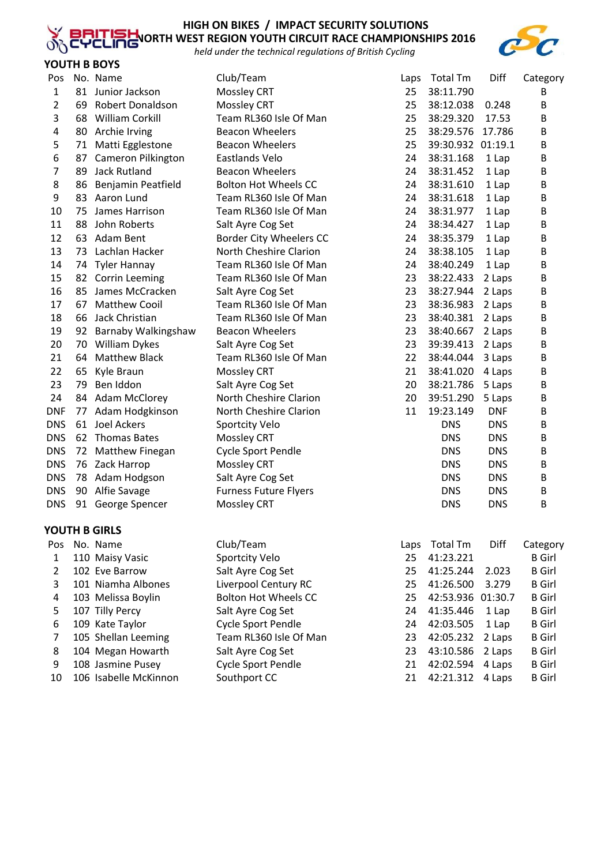

### **HIGH ON BIKES / IMPACT SECURITY SOLUTIONS NORTH WEST REGION YOUTH CIRCUIT RACE CHAMPIONSHIPS 2016**

*held under the technical regulations of British Cycling*



| Pos            |    | No. Name              | Club/Team                    | Laps | <b>Total Tm</b>   | Diff       | Category      |
|----------------|----|-----------------------|------------------------------|------|-------------------|------------|---------------|
| 1              |    | 81 Junior Jackson     | Mossley CRT                  | 25   | 38:11.790         |            | В             |
| $\overline{2}$ | 69 | Robert Donaldson      | Mossley CRT                  | 25   | 38:12.038         | 0.248      | Β             |
| 3              |    | 68 William Corkill    | Team RL360 Isle Of Man       | 25   | 38:29.320         | 17.53      | В             |
| 4              |    | 80 Archie Irving      | <b>Beacon Wheelers</b>       | 25   | 38:29.576         | 17.786     | В             |
| 5              |    | 71 Matti Egglestone   | <b>Beacon Wheelers</b>       | 25   | 39:30.932 01:19.1 |            | В             |
| 6              | 87 | Cameron Pilkington    | Eastlands Velo               | 24   | 38:31.168         | 1 Lap      | B             |
| 7              | 89 | Jack Rutland          | <b>Beacon Wheelers</b>       | 24   | 38:31.452         | 1 Lap      | B             |
| 8              | 86 | Benjamin Peatfield    | <b>Bolton Hot Wheels CC</b>  | 24   | 38:31.610         | 1 Lap      | В             |
| 9              |    | 83 Aaron Lund         | Team RL360 Isle Of Man       | 24   | 38:31.618         | 1 Lap      | В             |
| 10             | 75 | James Harrison        | Team RL360 Isle Of Man       | 24   | 38:31.977         | 1 Lap      | В             |
| 11             | 88 | John Roberts          | Salt Ayre Cog Set            | 24   | 38:34.427         | 1 Lap      | В             |
| 12             |    | 63 Adam Bent          | Border City Wheelers CC      | 24   | 38:35.379         | 1 Lap      | В             |
| 13             |    | 73 Lachlan Hacker     | North Cheshire Clarion       | 24   | 38:38.105         | 1 Lap      | B             |
| 14             | 74 | Tyler Hannay          | Team RL360 Isle Of Man       | 24   | 38:40.249         | 1 Lap      | B             |
| 15             |    | 82 Corrin Leeming     | Team RL360 Isle Of Man       | 23   | 38:22.433         | 2 Laps     | В             |
| 16             |    | 85 James McCracken    | Salt Ayre Cog Set            | 23   | 38:27.944         | 2 Laps     | В             |
| 17             | 67 | <b>Matthew Cooil</b>  | Team RL360 Isle Of Man       | 23   | 38:36.983         | 2 Laps     | В             |
| 18             | 66 | Jack Christian        | Team RL360 Isle Of Man       | 23   | 38:40.381         | 2 Laps     | В             |
| 19             | 92 | Barnaby Walkingshaw   | <b>Beacon Wheelers</b>       | 23   | 38:40.667         | 2 Laps     | B             |
| 20             | 70 | William Dykes         | Salt Ayre Cog Set            | 23   | 39:39.413         | 2 Laps     | B             |
| 21             | 64 | <b>Matthew Black</b>  | Team RL360 Isle Of Man       | 22   | 38:44.044         | 3 Laps     | B             |
| 22             | 65 | Kyle Braun            | <b>Mossley CRT</b>           | 21   | 38:41.020         | 4 Laps     | B             |
| 23             | 79 | Ben Iddon             | Salt Ayre Cog Set            | 20   | 38:21.786         | 5 Laps     | В             |
| 24             |    | 84 Adam McClorey      | North Cheshire Clarion       | 20   | 39:51.290         | 5 Laps     | В             |
| <b>DNF</b>     |    | 77 Adam Hodgkinson    | North Cheshire Clarion       | 11   | 19:23.149         | <b>DNF</b> | B             |
| <b>DNS</b>     |    | 61 Joel Ackers        | Sportcity Velo               |      | <b>DNS</b>        | <b>DNS</b> | B             |
| <b>DNS</b>     |    | 62 Thomas Bates       | Mossley CRT                  |      | <b>DNS</b>        | <b>DNS</b> | B             |
| <b>DNS</b>     |    | 72 Matthew Finegan    | Cycle Sport Pendle           |      | <b>DNS</b>        | <b>DNS</b> | B             |
| <b>DNS</b>     |    | 76 Zack Harrop        | <b>Mossley CRT</b>           |      | <b>DNS</b>        | <b>DNS</b> | B             |
| <b>DNS</b>     |    | 78 Adam Hodgson       | Salt Ayre Cog Set            |      | <b>DNS</b>        | <b>DNS</b> | $\sf B$       |
| <b>DNS</b>     | 90 | Alfie Savage          | <b>Furness Future Flyers</b> |      | <b>DNS</b>        | <b>DNS</b> | B             |
| <b>DNS</b>     | 91 | George Spencer        | Mossley CRT                  |      | <b>DNS</b>        | <b>DNS</b> | B             |
|                |    |                       |                              |      |                   |            |               |
|                |    | YOUTH B GIRLS         |                              |      |                   |            |               |
| Pos            |    | No. Name              | Club/Team                    | Laps | Total Tm          | Diff       | Category      |
| $\mathbf{1}$   |    | 110 Maisy Vasic       | <b>Sportcity Velo</b>        | 25   | 41:23.221         |            | <b>B</b> Girl |
| $\overline{2}$ |    | 102 Eve Barrow        | Salt Ayre Cog Set            | 25   | 41:25.244         | 2.023      | <b>B</b> Girl |
| 3              |    | 101 Niamha Albones    | Liverpool Century RC         | 25   | 41:26.500         | 3.279      | <b>B</b> Girl |
| 4              |    | 103 Melissa Boylin    | <b>Bolton Hot Wheels CC</b>  | 25   | 42:53.936         | 01:30.7    | <b>B</b> Girl |
| 5              |    | 107 Tilly Percy       | Salt Ayre Cog Set            | 24   | 41:35.446         | 1 Lap      | <b>B</b> Girl |
| 6              |    | 109 Kate Taylor       | Cycle Sport Pendle           | 24   | 42:03.505         | 1 Lap      | <b>B</b> Girl |
| 7              |    | 105 Shellan Leeming   | Team RL360 Isle Of Man       | 23   | 42:05.232         | 2 Laps     | <b>B</b> Girl |
| 8              |    | 104 Megan Howarth     | Salt Ayre Cog Set            | 23   | 43:10.586         | 2 Laps     | <b>B</b> Girl |
| 9              |    | 108 Jasmine Pusey     | <b>Cycle Sport Pendle</b>    | 21   | 42:02.594         | 4 Laps     | <b>B</b> Girl |
| 10             |    | 106 Isabelle McKinnon | Southport CC                 | 21   | 42:21.312         | 4 Laps     | <b>B</b> Girl |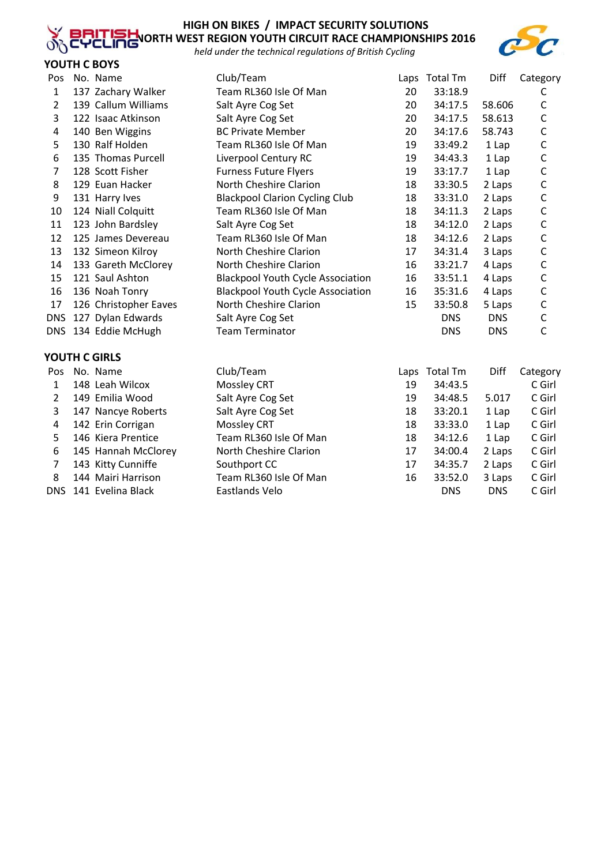# **HIGH ON BIKES / IMPACT SECURITY SOLUTIONS**

**NORTH WEST REGION YOUTH CIRCUIT RACE CHAMPIONSHIPS 2016** *held under the technical regulations of British Cycling*



## **YOUTH C BOYS**

 $\delta$ 

| Pos            | No. Name              | Club/Team                                |    | Laps Total Tm | Diff       | Category     |
|----------------|-----------------------|------------------------------------------|----|---------------|------------|--------------|
| $\mathbf{1}$   | 137 Zachary Walker    | Team RL360 Isle Of Man                   | 20 | 33:18.9       |            | С            |
| 2              | 139 Callum Williams   | Salt Ayre Cog Set                        | 20 | 34:17.5       | 58.606     | $\mathsf C$  |
| 3              | 122 Isaac Atkinson    | Salt Ayre Cog Set                        | 20 | 34:17.5       | 58.613     | C            |
| 4              | 140 Ben Wiggins       | <b>BC Private Member</b>                 | 20 | 34:17.6       | 58.743     | $\mathsf{C}$ |
| 5              | 130 Ralf Holden       | Team RL360 Isle Of Man                   | 19 | 33:49.2       | 1 Lap      | $\mathsf C$  |
| 6              | 135 Thomas Purcell    | Liverpool Century RC                     | 19 | 34:43.3       | 1 Lap      | C            |
| 7              | 128 Scott Fisher      | <b>Furness Future Flyers</b>             | 19 | 33:17.7       | 1 Lap      | $\mathsf C$  |
| 8              | 129 Euan Hacker       | North Cheshire Clarion                   | 18 | 33:30.5       | 2 Laps     | $\mathsf C$  |
| 9              | 131 Harry Ives        | <b>Blackpool Clarion Cycling Club</b>    | 18 | 33:31.0       | 2 Laps     | $\mathsf C$  |
| 10             | 124 Niall Colquitt    | Team RL360 Isle Of Man                   | 18 | 34:11.3       | 2 Laps     | $\mathsf C$  |
| 11             | 123 John Bardsley     | Salt Ayre Cog Set                        | 18 | 34:12.0       | 2 Laps     | C            |
| 12             | 125 James Devereau    | Team RL360 Isle Of Man                   | 18 | 34:12.6       | 2 Laps     | C            |
| 13             | 132 Simeon Kilroy     | North Cheshire Clarion                   | 17 | 34:31.4       | 3 Laps     | $\mathsf C$  |
| 14             | 133 Gareth McClorey   | North Cheshire Clarion                   | 16 | 33:21.7       | 4 Laps     | $\mathsf C$  |
| 15             | 121 Saul Ashton       | <b>Blackpool Youth Cycle Association</b> | 16 | 33:51.1       | 4 Laps     | $\mathsf C$  |
| 16             | 136 Noah Tonry        | <b>Blackpool Youth Cycle Association</b> | 16 | 35:31.6       | 4 Laps     | $\mathsf C$  |
| 17             | 126 Christopher Eaves | North Cheshire Clarion                   | 15 | 33:50.8       | 5 Laps     | C            |
| <b>DNS</b>     | 127 Dylan Edwards     | Salt Ayre Cog Set                        |    | <b>DNS</b>    | <b>DNS</b> | $\mathsf C$  |
|                | DNS 134 Eddie McHugh  | <b>Team Terminator</b>                   |    | <b>DNS</b>    | <b>DNS</b> | $\mathsf{C}$ |
|                | YOUTH C GIRLS         |                                          |    |               |            |              |
|                | Pos No. Name          | Club/Team                                |    | Laps Total Tm | Diff       | Category     |
| 1              | 148 Leah Wilcox       | <b>Mossley CRT</b>                       | 19 | 34:43.5       |            | C Girl       |
| $\overline{2}$ | 149 Emilia Wood       | Salt Ayre Cog Set                        | 19 | 34:48.5       | 5.017      | C Girl       |
| 3              | 147 Nancye Roberts    | Salt Ayre Cog Set                        | 18 | 33:20.1       | 1 Lap      | C Girl       |
| 4              | 142 Erin Corrigan     | <b>Mossley CRT</b>                       | 18 | 33:33.0       | 1 Lap      | C Girl       |
| 5              | 146 Kiera Prentice    | Team RL360 Isle Of Man                   | 18 | 34:12.6       | 1 Lap      | C Girl       |
| 6              | 145 Hannah McClorey   | North Cheshire Clarion                   | 17 | 34:00.4       | 2 Laps     | C Girl       |
| 7              | 143 Kitty Cunniffe    | Southport CC                             | 17 | 34:35.7       | 2 Laps     | C Girl       |
| 8              | 144 Mairi Harrison    | Team RL360 Isle Of Man                   | 16 | 33:52.0       | 3 Laps     | C Girl       |
| <b>DNS</b>     | 141 Evelina Black     | Eastlands Velo                           |    | <b>DNS</b>    | <b>DNS</b> | C Girl       |